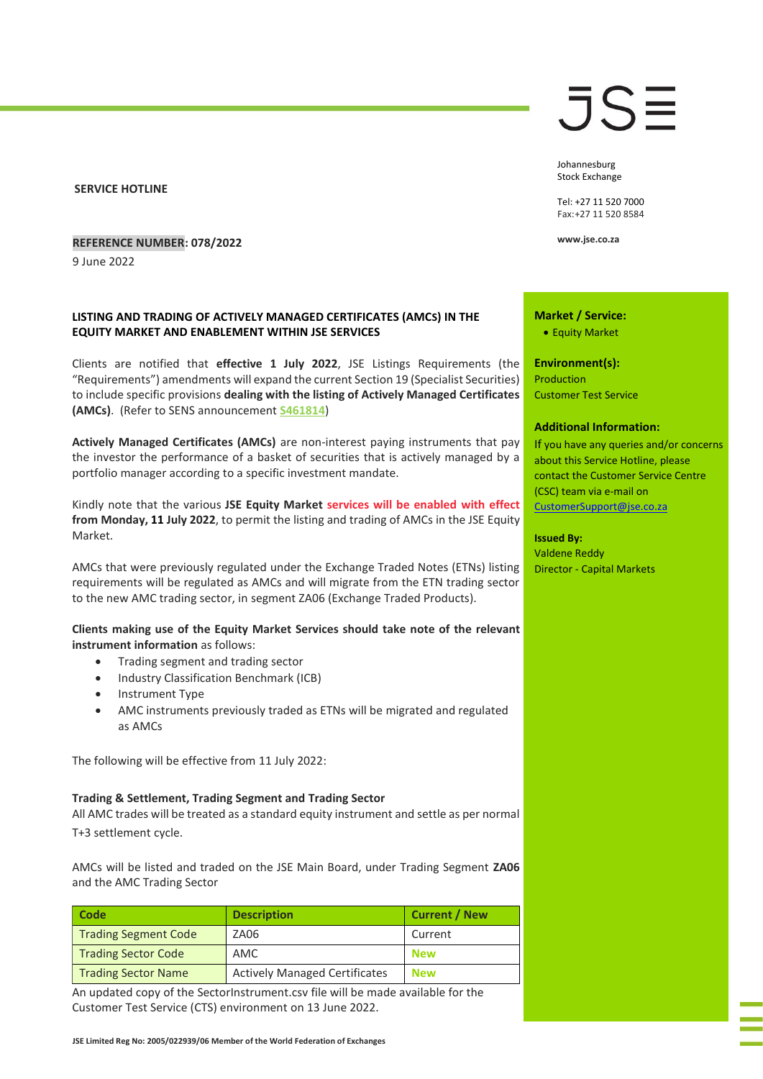**SERVICE HOTLINE**

### **REFERENCE NUMBER: 078/2022**

9 June 2022

## **LISTING AND TRADING OF ACTIVELY MANAGED CERTIFICATES (AMCS) IN THE EQUITY MARKET AND ENABLEMENT WITHIN JSE SERVICES**

Clients are notified that **effective 1 July 2022**, JSE Listings Requirements (the "Requirements") amendments will expand the current Section 19 (Specialist Securities) to include specific provisions **dealing with the listing of Actively Managed Certificates (AMCs)**. (Refer to SENS announcement **[S461814](https://senspdf.jse.co.za/documents/SENS_20220606_S461814.pdf)**)

**Actively Managed Certificates (AMCs)** are non-interest paying instruments that pay the investor the performance of a basket of securities that is actively managed by a portfolio manager according to a specific investment mandate.

Kindly note that the various **JSE Equity Market services will be enabled with effect from Monday, 11 July 2022**, to permit the listing and trading of AMCs in the JSE Equity Market.

AMCs that were previously regulated under the Exchange Traded Notes (ETNs) listing requirements will be regulated as AMCs and will migrate from the ETN trading sector to the new AMC trading sector, in segment ZA06 (Exchange Traded Products).

### **Clients making use of the Equity Market Services should take note of the relevant instrument information** as follows:

- Trading segment and trading sector
- Industry Classification Benchmark (ICB)
- Instrument Type
- AMC instruments previously traded as ETNs will be migrated and regulated as AMCs

The following will be effective from 11 July 2022:

#### **Trading & Settlement, Trading Segment and Trading Sector**

All AMC trades will be treated as a standard equity instrument and settle as per normal T+3 settlement cycle.

AMCs will be listed and traded on the JSE Main Board, under Trading Segment **ZA06** and the AMC Trading Sector

| Code                        | <b>Description</b>                   | <b>Current / New</b> |
|-----------------------------|--------------------------------------|----------------------|
| <b>Trading Segment Code</b> | ZA06                                 | Current              |
| <b>Trading Sector Code</b>  | AMC                                  | <b>New</b>           |
| <b>Trading Sector Name</b>  | <b>Actively Managed Certificates</b> | <b>New</b>           |

An updated copy of the SectorInstrument.csv file will be made available for the Customer Test Service (CTS) environment on 13 June 2022.

JSE

Johannesburg Stock Exchange

Tel: +27 11 520 7000 Fax:+27 11 520 8584

**www.jse.co.za**

**Market / Service:**

• Equity Market

**Environment(s):** Production

Customer Test Service

#### **Additional Information:**

If you have any queries and/or concerns about this Service Hotline, please contact the Customer Service Centre (CSC) team via e-mail on [CustomerSupport@jse.co.za](mailto:CustomerSupport@jse.co.za)

**Issued By:**

Valdene Reddy Director - Capital Markets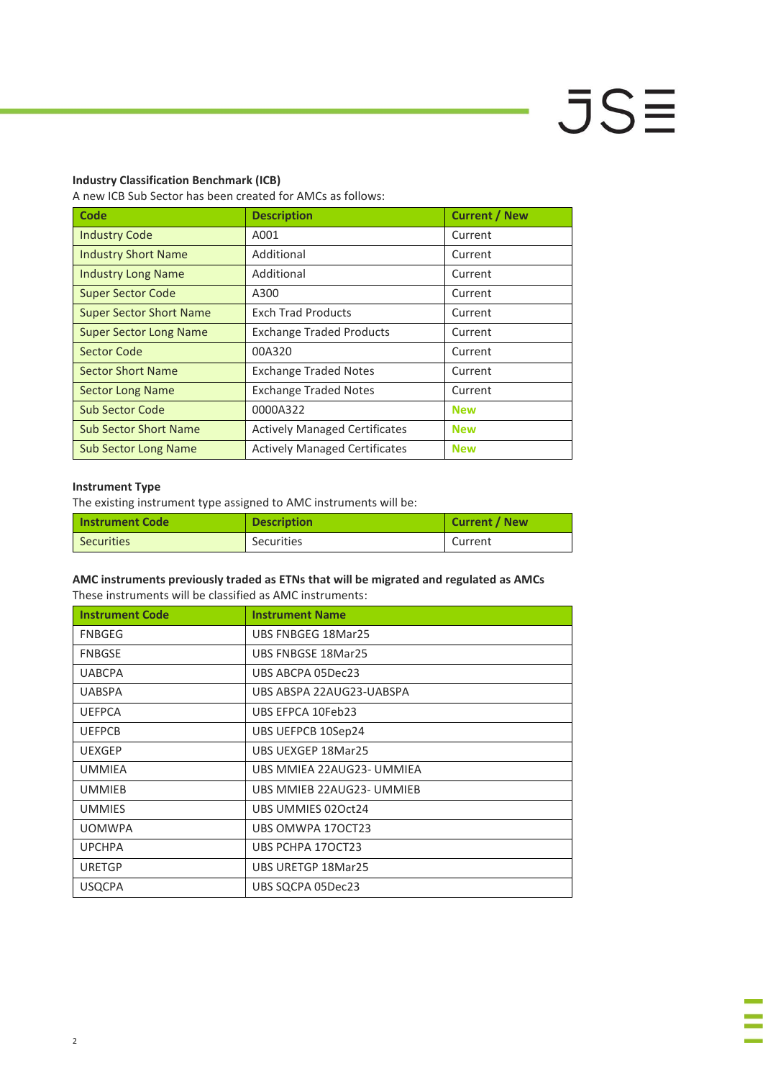# $JSE$

## **Industry Classification Benchmark (ICB)**

A new ICB Sub Sector has been created for AMCs as follows:

| <b>Code</b>                    | <b>Description</b>                   | <b>Current / New</b> |
|--------------------------------|--------------------------------------|----------------------|
| <b>Industry Code</b>           | A001                                 | Current              |
| <b>Industry Short Name</b>     | Additional                           | Current              |
| <b>Industry Long Name</b>      | Additional                           | Current              |
| <b>Super Sector Code</b>       | A300                                 | Current              |
| <b>Super Sector Short Name</b> | <b>Exch Trad Products</b>            | Current              |
| <b>Super Sector Long Name</b>  | <b>Exchange Traded Products</b>      | Current              |
| <b>Sector Code</b>             | 00A320                               | Current              |
| <b>Sector Short Name</b>       | <b>Exchange Traded Notes</b>         | Current              |
| <b>Sector Long Name</b>        | <b>Exchange Traded Notes</b>         | Current              |
| Sub Sector Code                | 0000A322                             | <b>New</b>           |
| <b>Sub Sector Short Name</b>   | <b>Actively Managed Certificates</b> | <b>New</b>           |
| <b>Sub Sector Long Name</b>    | <b>Actively Managed Certificates</b> | <b>New</b>           |

## **Instrument Type**

The existing instrument type assigned to AMC instruments will be:

| <b>Instrument Code</b> | <b>Description</b> | Current / New |
|------------------------|--------------------|---------------|
| Securities             | <b>Securities</b>  | Current       |

## **AMC instruments previously traded as ETNs that will be migrated and regulated as AMCs**

These instruments will be classified as AMC instruments:

| <b>Instrument Code</b> | <b>Instrument Name</b>    |
|------------------------|---------------------------|
| FNBGEG                 | UBS FNBGEG 18Mar25        |
| <b>FNBGSE</b>          | UBS FNBGSE 18Mar25        |
| <b>UABCPA</b>          | UBS ABCPA 05Dec23         |
| <b>UABSPA</b>          | UBS ABSPA 22AUG23-UABSPA  |
| <b>UEFPCA</b>          | UBS EFPCA 10Feb23         |
| <b>UEFPCB</b>          | UBS UEFPCB 10Sep24        |
| <b>UEXGEP</b>          | UBS UEXGEP 18Mar25        |
| <b>UMMIEA</b>          | UBS MMIEA 22AUG23- UMMIEA |
| <b>UMMIEB</b>          | UBS MMIEB 22AUG23- UMMIEB |
| <b>UMMIES</b>          | UBS UMMIES 02Oct24        |
| <b>UOMWPA</b>          | UBS OMWPA 170CT23         |
| <b>UPCHPA</b>          | UBS PCHPA 170CT23         |
| <b>URETGP</b>          | UBS URETGP 18Mar25        |
| <b>USQCPA</b>          | UBS SQCPA 05Dec23         |